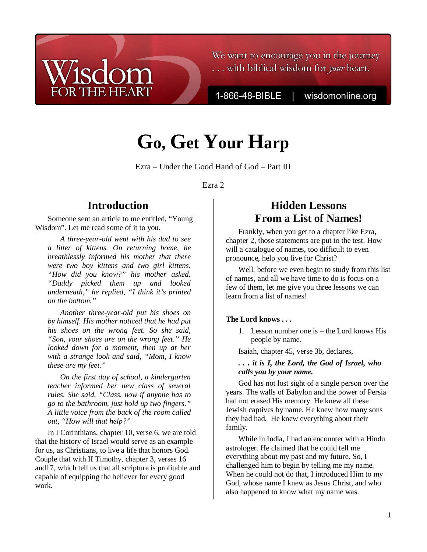# We want to encourage you in the journey ... with biblical wisdom for *your* heart.

1-866-48-BIBLE

wisdomonline.org

# **Go, Get Your Harp**

Ezra – Under the Good Hand of God – Part III

Ezra 2

# **Introduction**

Someone sent an article to me entitled, "Young Wisdom". Let me read some of it to you.

*A three-year-old went with his dad to see a litter of kittens. On returning home, he breathlessly informed his mother that there were two boy kittens and two girl kittens. "How did you know?" his mother asked. "Daddy picked them up and looked underneath," he replied, "I think it's printed on the bottom."* 

*Another three-year-old put his shoes on by himself. His mother noticed that he had put his shoes on the wrong feet. So she said, "Son, your shoes are on the wrong feet." He looked down for a moment, then up at her with a strange look and said, "Mom, I know these are my feet."* 

*On the first day of school, a kindergarten teacher informed her new class of several rules. She said, "Class, now if anyone has to go to the bathroom, just hold up two fingers." A little voice from the back of the room called out, "How will that help?"* 

In I Corinthians, chapter 10, verse 6, we are told that the history of Israel would serve as an example for us, as Christians, to live a life that honors God. Couple that with II Timothy, chapter 3, verses 16 and17, which tell us that all scripture is profitable and capable of equipping the believer for every good work.

# **Hidden Lessons From a List of Names!**

Frankly, when you get to a chapter like Ezra, chapter 2, those statements are put to the test. How will a catalogue of names, too difficult to even pronounce, help you live for Christ?

Well, before we even begin to study from this list of names, and all we have time to do is focus on a few of them, let me give you three lessons we can learn from a list of names!

## **The Lord knows . . .**

1. Lesson number one is – the Lord knows His people by name.

Isaiah, chapter 45, verse 3b, declares,

## *. . . it is I, the Lord, the God of Israel, who calls you by your name.*

God has not lost sight of a single person over the years. The walls of Babylon and the power of Persia had not erased His memory. He knew all these Jewish captives by name. He knew how many sons they had had. He knew everything about their family.

While in India, I had an encounter with a Hindu astrologer. He claimed that he could tell me everything about my past and my future. So, I challenged him to begin by telling me my name. When he could not do that, I introduced Him to my God, whose name I knew as Jesus Christ, and who also happened to know what my name was.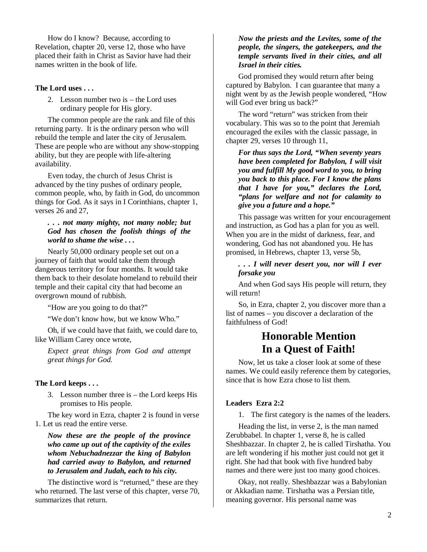How do I know? Because, according to Revelation, chapter 20, verse 12, those who have placed their faith in Christ as Savior have had their names written in the book of life.

#### **The Lord uses . . .**

2. Lesson number two is – the Lord uses ordinary people for His glory.

The common people are the rank and file of this returning party. It is the ordinary person who will rebuild the temple and later the city of Jerusalem. These are people who are without any show-stopping ability, but they are people with life-altering availability.

Even today, the church of Jesus Christ is advanced by the tiny pushes of ordinary people, common people, who, by faith in God, do uncommon things for God. As it says in I Corinthians, chapter 1, verses 26 and 27,

#### *. . . not many mighty, not many noble; but God has chosen the foolish things of the world to shame the wise . . .*

Nearly 50,000 ordinary people set out on a journey of faith that would take them through dangerous territory for four months. It would take them back to their desolate homeland to rebuild their temple and their capital city that had become an overgrown mound of rubbish.

"How are you going to do that?"

"We don't know how, but we know Who."

Oh, if we could have that faith, we could dare to, like William Carey once wrote,

*Expect great things from God and attempt great things for God.* 

#### **The Lord keeps . . .**

3. Lesson number three is – the Lord keeps His promises to His people.

The key word in Ezra, chapter 2 is found in verse 1. Let us read the entire verse.

*Now these are the people of the province who came up out of the captivity of the exiles whom Nebuchadnezzar the king of Babylon had carried away to Babylon, and returned to Jerusalem and Judah, each to his city.*

The distinctive word is "returned," these are they who returned. The last verse of this chapter, verse 70, summarizes that return.

#### *Now the priests and the Levites, some of the people, the singers, the gatekeepers, and the temple servants lived in their cities, and all Israel in their cities.*

God promised they would return after being captured by Babylon. I can guarantee that many a night went by as the Jewish people wondered, "How will God ever bring us back?"

The word "return" was stricken from their vocabulary. This was so to the point that Jeremiah encouraged the exiles with the classic passage, in chapter 29, verses 10 through 11,

*For thus says the Lord, "When seventy years have been completed for Babylon, I will visit you and fulfill My good word to you, to bring you back to this place. For I know the plans that I have for you," declares the Lord, "plans for welfare and not for calamity to give you a future and a hope."*

This passage was written for your encouragement and instruction, as God has a plan for you as well. When you are in the midst of darkness, fear, and wondering, God has not abandoned you. He has promised, in Hebrews, chapter 13, verse 5b,

#### *. . . I will never desert you, nor will I ever forsake you*

And when God says His people will return, they will return!

So, in Ezra, chapter 2, you discover more than a list of names – you discover a declaration of the faithfulness of God!

## **Honorable Mention In a Quest of Faith!**

Now, let us take a closer look at some of these names. We could easily reference them by categories, since that is how Ezra chose to list them.

#### **Leaders Ezra 2:2**

1. The first category is the names of the leaders.

Heading the list, in verse 2, is the man named Zerubbabel. In chapter 1, verse 8, he is called Sheshbazzar. In chapter 2, he is called Tirshatha. You are left wondering if his mother just could not get it right. She had that book with five hundred baby names and there were just too many good choices.

Okay, not really. Sheshbazzar was a Babylonian or Akkadian name. Tirshatha was a Persian title, meaning governor. His personal name was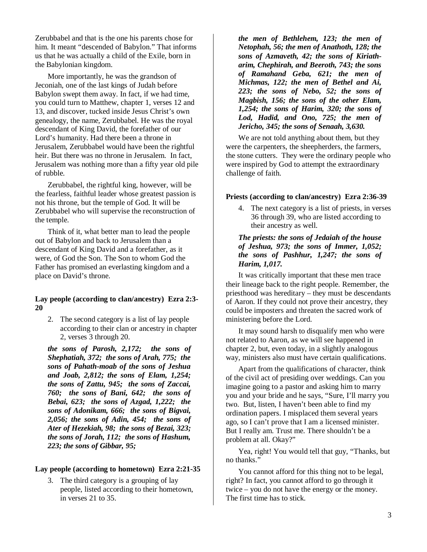Zerubbabel and that is the one his parents chose for him. It meant "descended of Babylon." That informs us that he was actually a child of the Exile, born in the Babylonian kingdom.

More importantly, he was the grandson of Jeconiah, one of the last kings of Judah before Babylon swept them away. In fact, if we had time, you could turn to Matthew, chapter 1, verses 12 and 13, and discover, tucked inside Jesus Christ's own genealogy, the name, Zerubbabel. He was the royal descendant of King David, the forefather of our Lord's humanity. Had there been a throne in Jerusalem, Zerubbabel would have been the rightful heir. But there was no throne in Jerusalem. In fact, Jerusalem was nothing more than a fifty year old pile of rubble.

Zerubbabel, the rightful king, however, will be the fearless, faithful leader whose greatest passion is not his throne, but the temple of God. It will be Zerubbabel who will supervise the reconstruction of the temple.

Think of it, what better man to lead the people out of Babylon and back to Jerusalem than a descendant of King David and a forefather, as it were, of God the Son. The Son to whom God the Father has promised an everlasting kingdom and a place on David's throne.

#### **Lay people (according to clan/ancestry) Ezra 2:3- 20**

2. The second category is a list of lay people according to their clan or ancestry in chapter 2, verses 3 through 20.

*the sons of Parosh, 2,172; the sons of Shephatiah, 372; the sons of Arah, 775; the sons of Pahath-moab of the sons of Jeshua and Joab, 2,812; the sons of Elam, 1,254; the sons of Zattu, 945; the sons of Zaccai, 760; the sons of Bani, 642; the sons of Bebai, 623; the sons of Azgad, 1,222; the sons of Adonikam, 666; the sons of Bigvai, 2,056; the sons of Adin, 454; the sons of Ater of Hezekiah, 98; the sons of Bezai, 323; the sons of Jorah, 112; the sons of Hashum, 223; the sons of Gibbar, 95;* 

#### **Lay people (according to hometown) Ezra 2:21-35**

3. The third category is a grouping of lay people, listed according to their hometown, in verses 21 to 35.

*the men of Bethlehem, 123; the men of Netophah, 56; the men of Anathoth, 128; the sons of Azmaveth, 42; the sons of Kiriatharim, Chephirah, and Beeroth, 743; the sons of Ramahand Geba, 621; the men of Michmas, 122; the men of Bethel and Ai, 223; the sons of Nebo, 52; the sons of Magbish, 156; the sons of the other Elam, 1,254; the sons of Harim, 320; the sons of Lod, Hadid, and Ono, 725; the men of Jericho, 345; the sons of Senaah, 3,630.* 

We are not told anything about them, but they were the carpenters, the sheepherders, the farmers, the stone cutters. They were the ordinary people who were inspired by God to attempt the extraordinary challenge of faith.

#### **Priests (according to clan/ancestry) Ezra 2:36-39**

4. The next category is a list of priests, in verses 36 through 39, who are listed according to their ancestry as well.

## *The priests: the sons of Jedaiah of the house of Jeshua, 973; the sons of Immer, 1,052; the sons of Pashhur, 1,247; the sons of Harim, 1,017.*

It was critically important that these men trace their lineage back to the right people. Remember, the priesthood was hereditary – they must be descendants of Aaron. If they could not prove their ancestry, they could be imposters and threaten the sacred work of ministering before the Lord.

It may sound harsh to disqualify men who were not related to Aaron, as we will see happened in chapter 2, but, even today, in a slightly analogous way, ministers also must have certain qualifications.

Apart from the qualifications of character, think of the civil act of presiding over weddings. Can you imagine going to a pastor and asking him to marry you and your bride and he says, "Sure, I'll marry you two. But, listen, I haven't been able to find my ordination papers. I misplaced them several years ago, so I can't prove that I am a licensed minister. But I really am. Trust me. There shouldn't be a problem at all. Okay?"

Yea, right! You would tell that guy, "Thanks, but no thanks."

You cannot afford for this thing not to be legal, right? In fact, you cannot afford to go through it twice – you do not have the energy or the money. The first time has to stick.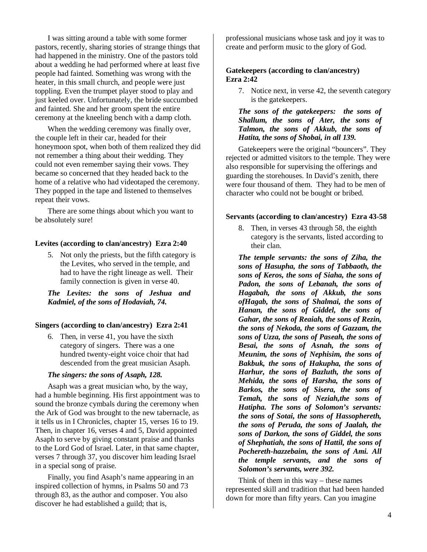I was sitting around a table with some former pastors, recently, sharing stories of strange things that had happened in the ministry. One of the pastors told about a wedding he had performed where at least five people had fainted. Something was wrong with the heater, in this small church, and people were just toppling. Even the trumpet player stood to play and just keeled over. Unfortunately, the bride succumbed and fainted. She and her groom spent the entire ceremony at the kneeling bench with a damp cloth.

When the wedding ceremony was finally over, the couple left in their car, headed for their honeymoon spot, when both of them realized they did not remember a thing about their wedding. They could not even remember saying their vows. They became so concerned that they headed back to the home of a relative who had videotaped the ceremony. They popped in the tape and listened to themselves repeat their vows.

There are some things about which you want to be absolutely sure!

#### **Levites (according to clan/ancestry) Ezra 2:40**

5. Not only the priests, but the fifth category is the Levites, who served in the temple, and had to have the right lineage as well. Their family connection is given in verse 40.

*The Levites: the sons of Jeshua and Kadmiel, of the sons of Hodaviah, 74.* 

#### **Singers (according to clan/ancestry) Ezra 2:41**

6. Then, in verse 41, you have the sixth category of singers. There was a one hundred twenty-eight voice choir that had descended from the great musician Asaph.

#### *The singers: the sons of Asaph, 128.*

Asaph was a great musician who, by the way, had a humble beginning. His first appointment was to sound the bronze cymbals during the ceremony when the Ark of God was brought to the new tabernacle, as it tells us in I Chronicles, chapter 15, verses 16 to 19. Then, in chapter 16, verses 4 and 5, David appointed Asaph to serve by giving constant praise and thanks to the Lord God of Israel. Later, in that same chapter, verses 7 through 37, you discover him leading Israel in a special song of praise.

Finally, you find Asaph's name appearing in an inspired collection of hymns, in Psalms 50 and 73 through 83, as the author and composer. You also discover he had established a guild; that is,

professional musicians whose task and joy it was to create and perform music to the glory of God.

#### **Gatekeepers (according to clan/ancestry) Ezra 2:42**

7. Notice next, in verse 42, the seventh category is the gatekeepers.

#### *The sons of the gatekeepers: the sons of Shallum, the sons of Ater, the sons of Talmon, the sons of Akkub, the sons of Hatita, the sons of Shobai, in all 139.*

Gatekeepers were the original "bouncers". They rejected or admitted visitors to the temple. They were also responsible for supervising the offerings and guarding the storehouses. In David's zenith, there were four thousand of them. They had to be men of character who could not be bought or bribed.

#### **Servants (according to clan/ancestry) Ezra 43-58**

8. Then, in verses 43 through 58, the eighth category is the servants, listed according to their clan.

*The temple servants: the sons of Ziha, the sons of Hasupha, the sons of Tabbaoth, the sons of Keros, the sons of Siaha, the sons of Padon, the sons of Lebanah, the sons of Hagabah, the sons of Akkub, the sons ofHagab, the sons of Shalmai, the sons of Hanan, the sons of Giddel, the sons of Gahar, the sons of Reaiah, the sons of Rezin, the sons of Nekoda, the sons of Gazzam, the sons of Uzza, the sons of Paseah, the sons of Besai, the sons of Asnah, the sons of Meunim, the sons of Nephisim, the sons of Bakbuk, the sons of Hakupha, the sons of Harhur, the sons of Bazluth, the sons of Mehida, the sons of Harsha, the sons of Barkos, the sons of Sisera, the sons of Temah, the sons of Neziah,the sons of Hatipha. The sons of Solomon's servants: the sons of Sotai, the sons of Hassophereth, the sons of Peruda, the sons of Jaalah, the sons of Darkon, the sons of Giddel, the sons of Shephatiah, the sons of Hattil, the sons of Pochereth-hazzebaim, the sons of Ami. All the temple servants, and the sons of Solomon's servants, were 392.*

Think of them in this way – these names represented skill and tradition that had been handed down for more than fifty years. Can you imagine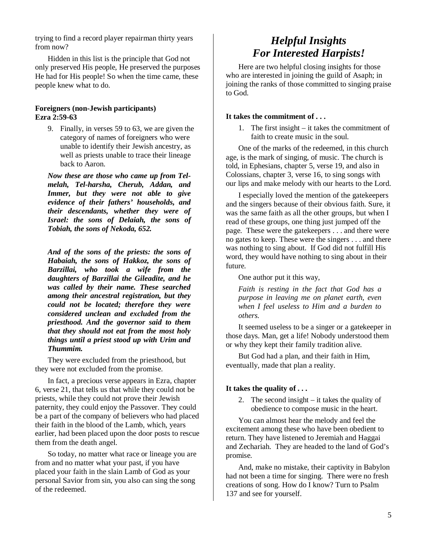trying to find a record player repairman thirty years from now?

Hidden in this list is the principle that God not only preserved His people, He preserved the purposes He had for His people! So when the time came, these people knew what to do.

#### **Foreigners (non-Jewish participants) Ezra 2:59-63**

9. Finally, in verses 59 to 63, we are given the category of names of foreigners who were unable to identify their Jewish ancestry, as well as priests unable to trace their lineage back to Aaron.

*Now these are those who came up from Telmelah, Tel-harsha, Cherub, Addan, and Immer, but they were not able to give evidence of their fathers' households, and their descendants, whether they were of Israel: the sons of Delaiah, the sons of Tobiah, the sons of Nekoda, 652.* 

*And of the sons of the priests: the sons of Habaiah, the sons of Hakkoz, the sons of Barzillai, who took a wife from the daughters of Barzillai the Gileadite, and he was called by their name. These searched among their ancestral registration, but they could not be located; therefore they were considered unclean and excluded from the priesthood. And the governor said to them that they should not eat from the most holy things until a priest stood up with Urim and Thummim.* 

They were excluded from the priesthood, but they were not excluded from the promise.

In fact, a precious verse appears in Ezra, chapter 6, verse 21, that tells us that while they could not be priests, while they could not prove their Jewish paternity, they could enjoy the Passover. They could be a part of the company of believers who had placed their faith in the blood of the Lamb, which, years earlier, had been placed upon the door posts to rescue them from the death angel.

So today, no matter what race or lineage you are from and no matter what your past, if you have placed your faith in the slain Lamb of God as your personal Savior from sin, you also can sing the song of the redeemed.

# *Helpful Insights For Interested Harpists!*

Here are two helpful closing insights for those who are interested in joining the guild of Asaph; in joining the ranks of those committed to singing praise to God.

## **It takes the commitment of . . .**

1. The first insight – it takes the commitment of faith to create music in the soul.

One of the marks of the redeemed, in this church age, is the mark of singing, of music. The church is told, in Ephesians, chapter 5, verse 19, and also in Colossians, chapter 3, verse 16, to sing songs with our lips and make melody with our hearts to the Lord.

I especially loved the mention of the gatekeepers and the singers because of their obvious faith. Sure, it was the same faith as all the other groups, but when I read of these groups, one thing just jumped off the page. These were the gatekeepers . . . and there were no gates to keep. These were the singers . . . and there was nothing to sing about. If God did not fulfill His word, they would have nothing to sing about in their future.

One author put it this way,

*Faith is resting in the fact that God has a purpose in leaving me on planet earth, even when I feel useless to Him and a burden to others.* 

It seemed useless to be a singer or a gatekeeper in those days. Man, get a life! Nobody understood them or why they kept their family tradition alive.

But God had a plan, and their faith in Him, eventually, made that plan a reality.

## **It takes the quality of . . .**

2. The second insight – it takes the quality of obedience to compose music in the heart.

You can almost hear the melody and feel the excitement among these who have been obedient to return. They have listened to Jeremiah and Haggai and Zechariah. They are headed to the land of God's promise.

And, make no mistake, their captivity in Babylon had not been a time for singing. There were no fresh creations of song. How do I know? Turn to Psalm 137 and see for yourself.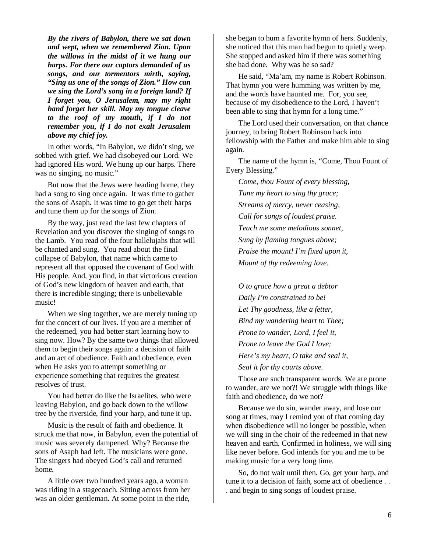*By the rivers of Babylon, there we sat down and wept, when we remembered Zion. Upon the willows in the midst of it we hung our harps. For there our captors demanded of us songs, and our tormentors mirth, saying, "Sing us one of the songs of Zion." How can we sing the Lord's song in a foreign land? If I forget you, O Jerusalem, may my right hand forget her skill. May my tongue cleave to the roof of my mouth, if I do not remember you, if I do not exalt Jerusalem above my chief joy.* 

In other words, "In Babylon, we didn't sing, we sobbed with grief. We had disobeyed our Lord. We had ignored His word. We hung up our harps. There was no singing, no music."

But now that the Jews were heading home, they had a song to sing once again. It was time to gather the sons of Asaph. It was time to go get their harps and tune them up for the songs of Zion.

By the way, just read the last few chapters of Revelation and you discover the singing of songs to the Lamb. You read of the four hallelujahs that will be chanted and sung. You read about the final collapse of Babylon, that name which came to represent all that opposed the covenant of God with His people. And, you find, in that victorious creation of God's new kingdom of heaven and earth, that there is incredible singing; there is unbelievable music!

When we sing together, we are merely tuning up for the concert of our lives. If you are a member of the redeemed, you had better start learning how to sing now. How? By the same two things that allowed them to begin their songs again: a decision of faith and an act of obedience. Faith and obedience, even when He asks you to attempt something or experience something that requires the greatest resolves of trust.

You had better do like the Israelites, who were leaving Babylon, and go back down to the willow tree by the riverside, find your harp, and tune it up.

Music is the result of faith and obedience. It struck me that now, in Babylon, even the potential of music was severely dampened. Why? Because the sons of Asaph had left. The musicians were gone. The singers had obeyed God's call and returned home.

A little over two hundred years ago, a woman was riding in a stagecoach. Sitting across from her was an older gentleman. At some point in the ride,

she began to hum a favorite hymn of hers. Suddenly, she noticed that this man had begun to quietly weep. She stopped and asked him if there was something she had done. Why was he so sad?

He said, "Ma'am, my name is Robert Robinson. That hymn you were humming was written by me, and the words have haunted me. For, you see, because of my disobedience to the Lord, I haven't been able to sing that hymn for a long time."

The Lord used their conversation, on that chance journey, to bring Robert Robinson back into fellowship with the Father and make him able to sing again.

The name of the hymn is, "Come, Thou Fount of Every Blessing."

*Come, thou Fount of every blessing, Tune my heart to sing thy grace; Streams of mercy, never ceasing, Call for songs of loudest praise. Teach me some melodious sonnet, Sung by flaming tongues above; Praise the mount! I'm fixed upon it, Mount of thy redeeming love.* 

*O to grace how a great a debtor Daily I'm constrained to be! Let Thy goodness, like a fetter, Bind my wandering heart to Thee; Prone to wander, Lord, I feel it, Prone to leave the God I love; Here's my heart, O take and seal it, Seal it for thy courts above.* 

Those are such transparent words. We are prone to wander, are we not?! We struggle with things like faith and obedience, do we not?

Because we do sin, wander away, and lose our song at times, may I remind you of that coming day when disobedience will no longer be possible, when we will sing in the choir of the redeemed in that new heaven and earth. Confirmed in holiness, we will sing like never before. God intends for you and me to be making music for a very long time.

So, do not wait until then. Go, get your harp, and tune it to a decision of faith, some act of obedience . . . and begin to sing songs of loudest praise.